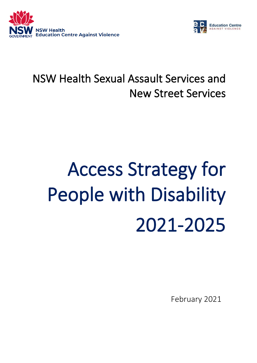



# NSW Health Sexual Assault Services and New Street Services

# Access Strategy for People with Disability 2021-2025

February 2021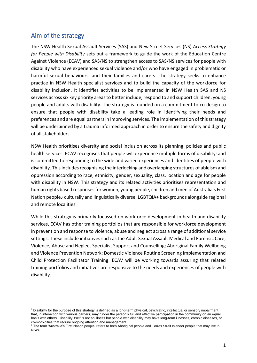# Aim of the strategy

The NSW Health Sexual Assault Services (SAS) and New Street Services (NS) *Access Strategy for People with Disability* sets out a framework to guide the work of the Education Centre Against Violence (ECAV) and SAS/NS to strengthen access to SAS/NS services for people with disability who have experienced sexual violence and/or who have engaged in problematic or harmful sexual behaviours, and their families and carers. The strategy seeks to enhance practice in NSW Health specialist services and to build the capacity of the workforce for disability inclusion. It identifies activities to be implemented in NSW Health SAS and NS services across six key priority areas to better include, respond to and support children, young people and adults with disability. The strategy is founded on a commitment to co-design to ensure that people with disability take a leading role in identifying their needs and preferences and are equal partners in improving services. The implementation of this strategy will be underpinned by a trauma informed approach in order to ensure the safety and dignity of all stakeholders.

NSW Health prioritises diversity and social inclusion across its planning, policies and public health services. ECAV recognises that people will experience multiple forms of disability<sup>1</sup> and is committed to responding to the wide and varied experiences and identities of people with disability. This includes recognising the interlocking and overlapping structures of ableism and oppression according to race, ethnicity, gender, sexuality, class, location and age for people with disability in NSW. This strategy and its related activities prioritises representation and human rights based responses for women, young people, children and men of Australia's First Nation people, <sup>2</sup> culturally and linguistically diverse, LGBTQIA+ backgrounds alongside regional and remote localities.

While this strategy is primarily focussed on workforce development in health and disability services, ECAV has other training portfolios that are responsible for workforce development in prevention and response to violence, abuse and neglect across a range of additional service settings. These include initiatives such as the Adult Sexual Assault Medical and Forensic Care; Violence, Abuse and Neglect Specialist Support and Counselling; Aboriginal Family Wellbeing and Violence Prevention Network; Domestic Violence Routine Screening Implementation and Child Protection Facilitator Training. ECAV will be working towards assuring that related training portfolios and initiatives are responsive to the needs and experiences of people with disability.

<sup>1</sup> Disability for the purpose of this strategy is defined as a long-term physical, psychiatric, intellectual or sensory impairment that, in interaction with various barriers, may hinder the person's full and effective participation in the community on an equal basis with others. Disability itself is not an illness but people with disability may have long-term illnesses, chronic diseases, or co-morbidities that require ongoing attention and management.

<sup>2</sup> The term 'Australia's First Nation people' refers to both Aboriginal people and Torres Strait Islander people that may live in NSW.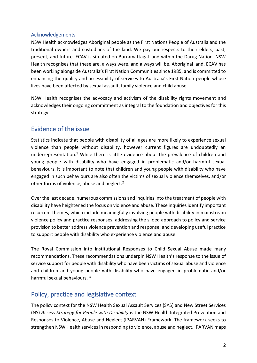#### Acknowledgements

NSW Health acknowledges Aboriginal people as the First Nations People of Australia and the traditional owners and custodians of the land. We pay our respects to their elders, past, present, and future. ECAV is situated on Burramattagal land within the Darug Nation. NSW Health recognises that these are, always were, and always will be, Aboriginal land. ECAV has been working alongside Australia's First Nation Communities since 1985, and is committed to enhancing the quality and accessibility of services to Australia's First Nation people whose lives have been affected by sexual assault, family violence and child abuse.

NSW Health recognises the advocacy and activism of the disability rights movement and acknowledges their ongoing commitment as integral to the foundation and objectives for this strategy.

# Evidence of the issue

Statistics indicate that people with disability of all ages are more likely to experience sexual violence than people without disability, however current figures are undoubtedly an underrepresentation.<sup>1</sup> While there is little evidence about the prevalence of children and young people with disability who have engaged in problematic and/or harmful sexual behaviours, it is important to note that children and young people with disability who have engaged in such behaviours are also often the victims of sexual violence themselves, and/or other forms of violence, abuse and neglect.<sup>2</sup>

Over the last decade, numerous commissions and inquiries into the treatment of people with disability have heightened the focus on violence and abuse. These inquiries identify important recurrent themes, which include meaningfully involving people with disability in mainstream violence policy and practice responses; addressing the siloed approach to policy and service provision to better address violence prevention and response; and developing useful practice to support people with disability who experience violence and abuse.

The Royal Commission into Institutional Responses to Child Sexual Abuse made many recommendations. These recommendations underpin NSW Health's response to the issue of service support for people with disability who have been victims of sexual abuse and violence and children and young people with disability who have engaged in problematic and/or harmful sexual behaviours. <sup>3</sup>

# Policy, practice and legislative context

The policy context for the NSW Health Sexual Assault Services (SAS) and New Street Services (NS) *Access Strategy for People with Disability* is the NSW Health Integrated Prevention and Responses to Violence, Abuse and Neglect (IPARVAN) Framework. The framework seeks to strengthen NSW Health services in responding to violence, abuse and neglect. IPARVAN maps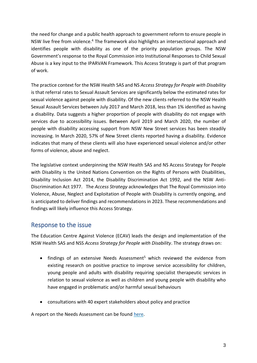the need for change and a public health approach to government reform to ensure people in NSW live free from violence.<sup>4</sup> The framework also highlights an intersectional approach and identifies people with disability as one of the priority population groups. The NSW Government's response to the Royal Commission into Institutional Responses to Child Sexual Abuse is a key input to the IPARVAN Framework. This Access Strategy is part of that program of work.

The practice context for the NSW Health SAS and NS *Access Strategy for People with Disability* is that referral rates to Sexual Assault Services are significantly below the estimated rates for sexual violence against people with disability. Of the new clients referred to the NSW Health Sexual Assault Services between July 2017 and March 2018, less than 1% identified as having a disability. Data suggests a higher proportion of people with disability do not engage with services due to accessibility issues. Between April 2019 and March 2020, the number of people with disability accessing support from NSW New Street services has been steadily increasing. In March 2020, 57% of New Street clients reported having a disability. Evidence indicates that many of these clients will also have experienced sexual violence and/or other forms of violence, abuse and neglect.

The legislative context underpinning the NSW Health SAS and NS Access Strategy for People with Disability is the United Nations Convention on the Rights of Persons with Disabilities, Disability Inclusion Act 2014, the Disability Discrimination Act 1992, and the NSW Anti-Discrimination Act 1977. The *Access Strategy* acknowledges that The Royal Commission into Violence, Abuse, Neglect and Exploitation of People with Disability is currently ongoing, and is anticipated to deliver findings and recommendations in 2023. These recommendations and findings will likely influence this Access Strategy.

# Response to the issue

The Education Centre Against Violence (ECAV) leads the design and implementation of the NSW Health SAS and NSS *Access Strategy for People with Disability*. The strategy draws on:

- findings of an extensive Needs Assessment<sup>5</sup> which reviewed the evidence from existing research on positive practice to improve service accessibility for children, young people and adults with disability requiring specialist therapeutic services in relation to sexual violence as well as children and young people with disability who have engaged in problematic and/or harmful sexual behaviours
- consultations with 40 expert stakeholders about policy and practice

A report on the Needs Assessment can be found [here.](http://www.ecav.health.nsw.gov.au/uploads/60438/ufiles/publications_and_reports/Published_Reports/Practice_Papers/NSW_Health_SAS_and_New_Street_Services_Access_Strategy_for_People.Needs_Assessment_Final_Report.Aug_2020.pdf)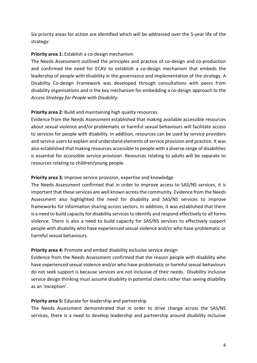Six priority areas for action are identified which will be addressed over the 5-year life of the strategy:

#### **Priority area 1:** Establish a co-design mechanism

The Needs Assessment outlined the principles and practice of co-design and co-production and confirmed the need for ECAV to establish a co-design mechanism that embeds the leadership of people with disability in the governance and implementation of the strategy. A Disability Co-design Framework was developed through consultations with peers from disability organisations and is the key mechanism for embedding a co-design approach to the *Access Strategy for People with Disability*.

# **Priority area 2:** Build and maintaining high quality resources

Evidence from the Needs Assessment established that making available accessible resources about sexual violence and/or problematic or harmful sexual behaviours will facilitate access to services for people with disability. In addition, resources can be used by service providers and service users to explain and understand elements of service provision and practice. It was also established that making resources accessible to people with a diverse range of disabilities is essential for accessible service provision. Resources relating to adults will be separate to resources relating to children/young people.

#### **Priority area 3:** Improve service provision, expertise and knowledge

The Needs Assessment confirmed that in order to improve access to SAS/NS services, it is important that these services are well known across the community. Evidence from the Needs Assessment also highlighted the need for disability and SAS/NS services to improve frameworks for information sharing across sectors. In addition, it was established that there is a need to build capacity for disability services to identify and respond effectively to all forms violence. There is also a need to build capacity for SAS/NS services to effectively support people with disability who have experienced sexual violence and/or who have problematic or harmful sexual behaviours.

#### **Priority area 4:** Promote and embed disability inclusive service design

Evidence from the Needs Assessment confirmed that the reason people with disability who have experienced sexual violence and/or who have problematic or harmful sexual behaviours do not seek support is because services are not inclusive of their needs. Disability inclusive service design thinking must assume disability in potential clients rather than seeing disability as an 'exception'.

# **Priority area 5:** Educate for leadership and partnership

The Needs Assessment demonstrated that in order to drive change across the SAS/NS services, there is a need to develop leadership and partnership around disability inclusive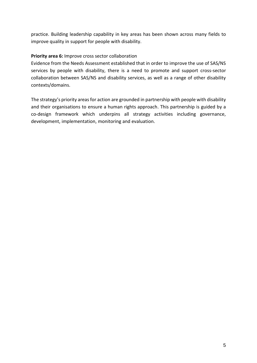practice. Building leadership capability in key areas has been shown across many fields to improve quality in support for people with disability.

#### **Priority area 6:** Improve cross sector collaboration

Evidence from the Needs Assessment established that in order to improve the use of SAS/NS services by people with disability, there is a need to promote and support cross-sector collaboration between SAS/NS and disability services, as well as a range of other disability contexts/domains.

The strategy's priority areas for action are grounded in partnership with people with disability and their organisations to ensure a human rights approach. This partnership is guided by a co-design framework which underpins all strategy activities including governance, development, implementation, monitoring and evaluation.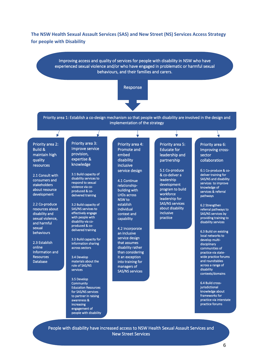**The NSW Health Sexual Assault Services (SAS) and New Street (NS) Services Access Strategy for people with Disability**

> Improving access and quality of services for people with disability in NSW who have experienced sexual violence and/or who have engaged in problematic or harmful sexual behaviours, and their families and carers.





Priority area 1: Establish a co-design mechanism so that people with disability are involved in the design and implementation of the strategy

Priority area 2: Build & maintain high quality resources

 $\sqrt{}$ 

2.1 Consult with consumers and stakeholders about resource development

2.2 Co-produce resources about disability and sexual violence, and harmful sexual behaviours

2.3 Establish online Information and **Resources** Database

Ĩ

Priority area 3: Improve service provision, expertise & knowledge

3.1 Build capacity of disability services to respond to sexual violence via coproduced & codelivered training

3.2 Build capacity of SAS/NS services to effectively engage with people with disability via coproduced & codelivered training

3.3 Build capacity for information sharing across sectors

3.4 Develop materials about the role of SAS/NS services

3.5 Develop **Community** Education Resources for SAS/NS services to partner in raising awareness & increasing engagement of people with disability

Priority area 4: Promote and embed disability inclusive service design

4.1 Continue relationshipbuilding with LHDs across NSW to establish individual context and capability

4.2 Incorporate an inclusive service design that assumes disability rather than considering it an exception into training for managers of SAS/NS services

Priority area 5: Educate for leadership and partnership

5.1 Co-produce & co-deliver a leadership development program to build workforce leadership for SAS/NS services about disability inclusive practice

Priority area 6: Improving crosssector collaboration

6.1 Co-produce & codeliver training for SAS/NS and disability services to improve knowledge of services & referral pathways

6.2 Strengthen referral pathways to SAS/NS services by providing training to disability services

6.3 Build on existing local networks to develop multidisciplinary communities of practice via statewide practice forums and roundtables across a range of disability contexts/domains

6.4 Build crossiurisdictional knowledge about frameworks for practice via interstate practice forums

People with disability have increased access to NSW Health Sexual Assault Services and New Street Services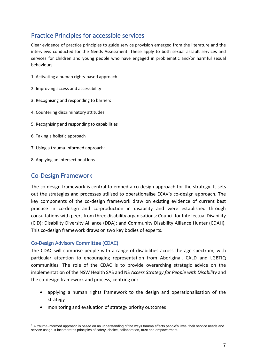# Practice Principles for accessible services

Clear evidence of practice principles to guide service provision emerged from the literature and the interviews conducted for the Needs Assessment. These apply to both sexual assault services and services for children and young people who have engaged in problematic and/or harmful sexual behaviours.

- 1. Activating a human rights-based approach
- 2. Improving access and accessibility
- 3. Recognising and responding to barriers
- 4. Countering discriminatory attitudes
- 5. Recognising and responding to capabilities
- 6. Taking a holistic approach
- 7. Using a trauma-informed approach<sup>3</sup>
- 8. Applying an intersectional lens

# Co-Design Framework

The co-design framework is central to embed a co-design approach for the strategy. It sets out the strategies and processes utilised to operationalise ECAV's co-design approach. The key components of the co-design framework draw on existing evidence of current best practice in co-design and co-production in disability and were established through consultations with peers from three disability organisations: Council for Intellectual Disability (CID); Disability Diversity Alliance (DDA); and Community Disability Alliance Hunter (CDAH). This co-design framework draws on two key bodies of experts.

#### Co-Design Advisory Committee (CDAC)

The CDAC will comprise people with a range of disabilities across the age spectrum, with particular attention to encouraging representation from Aboriginal, CALD and LGBTIQ communities. The role of the CDAC is to provide overarching strategic advice on the implementation of the NSW Health SAS and NS *Access Strategy for People with Disability* and the co-design framework and process, centring on:

- applying a human rights framework to the design and operationalisation of the strategy
- monitoring and evaluation of strategy priority outcomes

<sup>&</sup>lt;sup>3</sup> A trauma-informed approach is based on an understanding of the ways trauma affects people's lives, their service needs and service usage. It incorporates principles of safety, choice, collaboration, trust and empowerment.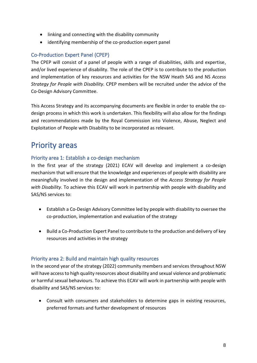- linking and connecting with the disability community
- identifying membership of the co-production expert panel

# Co-Production Expert Panel (CPEP)

The CPEP will consist of a panel of people with a range of disabilities, skills and expertise, and/or lived experience of disability. The role of the CPEP is to contribute to the production and implementation of key resources and activities for the NSW Heath SAS and NS *Access Strategy for People with Disability.* CPEP members will be recruited under the advice of the Co-Design Advisory Committee.

This Access Strategy and its accompanying documents are flexible in order to enable the codesign process in which this work is undertaken. This flexibility will also allow for the findings and recommendations made by the Royal Commission into Violence, Abuse, Neglect and Exploitation of People with Disability to be incorporated as relevant.

# Priority areas

# Priority area 1: Establish a co-design mechanism

In the first year of the strategy (2021) ECAV will develop and implement a co-design mechanism that will ensure that the knowledge and experiences of people with disability are meaningfully involved in the design and implementation of the *Access Strategy for People with Disability*. To achieve this ECAV will work in partnership with people with disability and SAS/NS services to:

- Establish a Co-Design Advisory Committee led by people with disability to oversee the co-production, implementation and evaluation of the strategy
- Build a Co-Production Expert Panel to contribute to the production and delivery of key resources and activities in the strategy

#### Priority area 2: Build and maintain high quality resources

In the second year of the strategy (2022) community members and services throughout NSW will have access to high quality resources about disability and sexual violence and problematic or harmful sexual behaviours. To achieve this ECAV will work in partnership with people with disability and SAS/NS services to:

• Consult with consumers and stakeholders to determine gaps in existing resources, preferred formats and further development of resources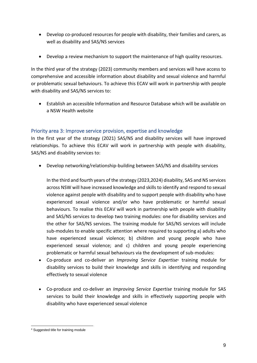- Develop co-produced resources for people with disability, their families and carers, as well as disability and SAS/NS services
- Develop a review mechanism to support the maintenance of high quality resources.

In the third year of the strategy (2023) community members and services will have access to comprehensive and accessible information about disability and sexual violence and harmful or problematic sexual behaviours. To achieve this ECAV will work in partnership with people with disability and SAS/NS services to:

• Establish an accessible Information and Resource Database which will be available on a NSW Health website

# Priority area 3: Improve service provision, expertise and knowledge

In the first year of the strategy (2021) SAS/NS and disability services will have improved relationships. To achieve this ECAV will work in partnership with people with disability, SAS/NS and disability services to:

• Develop networking/relationship-building between SAS/NS and disability services

In the third and fourth years of the strategy (2023,2024) disability, SAS and NS services across NSW will have increased knowledge and skills to identify and respond to sexual violence against people with disability and to support people with disability who have experienced sexual violence and/or who have problematic or harmful sexual behaviours. To realise this ECAV will work in partnership with people with disability and SAS/NS services to develop two training modules: one for disability services and the other for SAS/NS services. The training module for SAS/NS services will include sub-modules to enable specific attention where required to supporting a) adults who have experienced sexual violence; b) children and young people who have experienced sexual violence; and c) children and young people experiencing problematic or harmful sexual behaviours via the development of sub-modules:

- Co-produce and co-deliver an *Improving Service Expertise<sup>4</sup>* training module for disability services to build their knowledge and skills in identifying and responding effectively to sexual violence
- Co-produce and co-deliver an *Improving Service Expertise* training module for SAS services to build their knowledge and skills in effectively supporting people with disability who have experienced sexual violence

<sup>4</sup> Suggested title for training module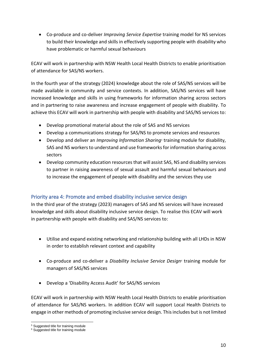• Co-produce and co-deliver *Improving Service Expertise* training model for NS services to build their knowledge and skills in effectively supporting people with disability who have problematic or harmful sexual behaviours

ECAV will work in partnership with NSW Health Local Health Districts to enable prioritisation of attendance for SAS/NS workers.

In the fourth year of the strategy (2024) knowledge about the role of SAS/NS services will be made available in community and service contexts. In addition, SAS/NS services will have increased knowledge and skills in using frameworks for information sharing across sectors and in partnering to raise awareness and increase engagement of people with disability. To achieve this ECAV will work in partnership with people with disability and SAS/NS services to:

- Develop promotional material about the role of SAS and NS services
- Develop a communications strategy for SAS/NS to promote services and resources
- Develop and deliver an *Improving Information Sharing<sup>5</sup>* training module for disability, SAS and NS workers to understand and use frameworks for information sharing across sectors
- Develop community education resources that will assist SAS, NS and disability services to partner in raising awareness of sexual assault and harmful sexual behaviours and to increase the engagement of people with disability and the services they use

# Priority area 4: Promote and embed disability inclusive service design

In the third year of the strategy (2023) managers of SAS and NS services will have increased knowledge and skills about disability inclusive service design. To realise this ECAV will work in partnership with people with disability and SAS/NS services to:

- Utilise and expand existing networking and relationship building with all LHDs in NSW in order to establish relevant context and capability
- Co-produce and co-deliver a *Disability Inclusive Service Design<sup>6</sup>* training module for managers of SAS/NS services
- Develop a 'Disability Access Audit' for SAS/NS services

ECAV will work in partnership with NSW Health Local Health Districts to enable prioritisation of attendance for SAS/NS workers. In addition ECAV will support Local Health Districts to engage in other methods of promoting inclusive service design. Thisincludes but is not limited

<sup>5</sup> Suggested title for training module

<sup>&</sup>lt;sup>6</sup> Suggested title for training module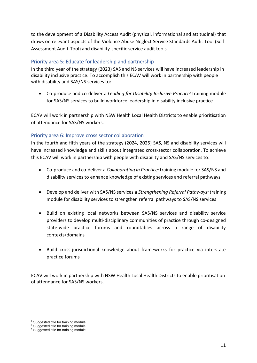to the development of a Disability Access Audit (physical, informational and attitudinal) that draws on relevant aspects of the Violence Abuse Neglect Service Standards Audit Tool (Self-Assessment Audit-Tool) and disability-specific service audit tools.

# Priority area 5: Educate for leadership and partnership

In the third year of the strategy (2023) SAS and NS services will have increased leadership in disability inclusive practice. To accomplish this ECAV will work in partnership with people with disability and SAS/NS services to:

• Co-produce and co-deliver a *Leading for Disability Inclusive Practice<sup>7</sup>* training module for SAS/NS services to build workforce leadership in disability inclusive practice

ECAV will work in partnership with NSW Health Local Health Districts to enable prioritisation of attendance for SAS/NS workers.

# Priority area 6: Improve cross sector collaboration

In the fourth and fifth years of the strategy (2024, 2025) SAS, NS and disability services will have increased knowledge and skills about integrated cross-sector collaboration. To achieve this ECAV will work in partnership with people with disability and SAS/NS services to:

- Co-produce and co-deliver a *Collaborating in Practice<sup>8</sup>* training module for SAS/NS and disability services to enhance knowledge of existing services and referral pathways
- Develop and deliver with SAS/NS services a *Strengthening Referral Pathways<sup>9</sup>* training module for disability services to strengthen referral pathways to SAS/NS services
- Build on existing local networks between SAS/NS services and disability service providers to develop multi-disciplinary communities of practice through co-designed state-wide practice forums and roundtables across a range of disability contexts/domains
- Build cross-jurisdictional knowledge about frameworks for practice via interstate practice forums

ECAV will work in partnership with NSW Health Local Health Districts to enable prioritisation of attendance for SAS/NS workers.

<sup>&</sup>lt;sup>7</sup> Suggested title for training module

<sup>&</sup>lt;sup>8</sup> Suggested title for training module

<sup>&</sup>lt;sup>9</sup> Suggested title for training module